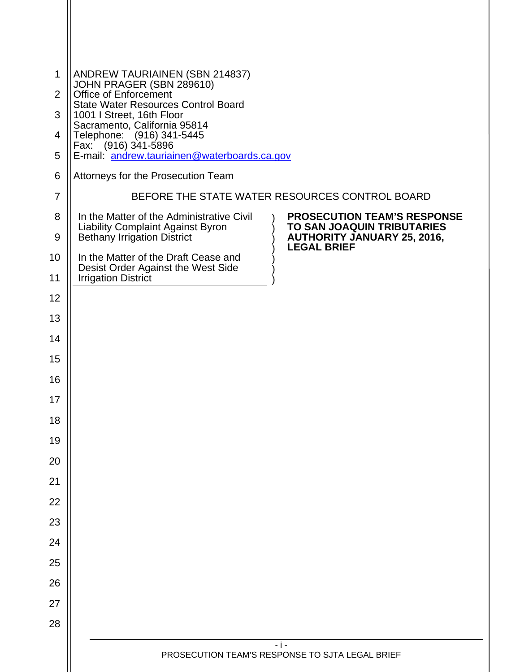| 1<br>$\overline{2}$ | <b>ANDREW TAURIAINEN (SBN 214837)</b><br>JOHN PRAGER (SBN 289610)<br><b>Office of Enforcement</b>                           |                                                                                                               |  |
|---------------------|-----------------------------------------------------------------------------------------------------------------------------|---------------------------------------------------------------------------------------------------------------|--|
| 3                   | <b>State Water Resources Control Board</b><br>1001   Street, 16th Floor                                                     |                                                                                                               |  |
| 4                   | Sacramento, California 95814<br>Telephone: (916) 341-5445                                                                   |                                                                                                               |  |
| 5                   | Fax: (916) 341-5896<br>E-mail: andrew.tauriainen@waterboards.ca.gov                                                         |                                                                                                               |  |
| 6                   | Attorneys for the Prosecution Team                                                                                          |                                                                                                               |  |
| $\overline{7}$      | BEFORE THE STATE WATER RESOURCES CONTROL BOARD                                                                              |                                                                                                               |  |
| 8<br>9              | In the Matter of the Administrative Civil<br><b>Liability Complaint Against Byron</b><br><b>Bethany Irrigation District</b> | <b>PROSECUTION TEAM'S RESPONSE</b><br><b>TO SAN JOAQUIN TRIBUTARIES</b><br><b>AUTHORITY JANUARY 25, 2016,</b> |  |
| 10                  | In the Matter of the Draft Cease and                                                                                        | <b>LEGAL BRIEF</b>                                                                                            |  |
| 11                  | Desist Order Against the West Side<br><b>Irrigation District</b>                                                            |                                                                                                               |  |
| 12                  |                                                                                                                             |                                                                                                               |  |
| 13                  |                                                                                                                             |                                                                                                               |  |
| 14                  |                                                                                                                             |                                                                                                               |  |
| 15                  |                                                                                                                             |                                                                                                               |  |
| 16                  |                                                                                                                             |                                                                                                               |  |
| 17                  |                                                                                                                             |                                                                                                               |  |
| 18                  |                                                                                                                             |                                                                                                               |  |
| 19                  |                                                                                                                             |                                                                                                               |  |
| 20                  |                                                                                                                             |                                                                                                               |  |
| 21                  |                                                                                                                             |                                                                                                               |  |
| 22                  |                                                                                                                             |                                                                                                               |  |
| 23                  |                                                                                                                             |                                                                                                               |  |
| 24                  |                                                                                                                             |                                                                                                               |  |
| 25                  |                                                                                                                             |                                                                                                               |  |
| 26                  |                                                                                                                             |                                                                                                               |  |
| 27                  |                                                                                                                             |                                                                                                               |  |
| 28                  |                                                                                                                             |                                                                                                               |  |
|                     | $-1-$<br>PROSECUTION TEAM'S RESPONSE TO SJTA LEGAL BRIEF                                                                    |                                                                                                               |  |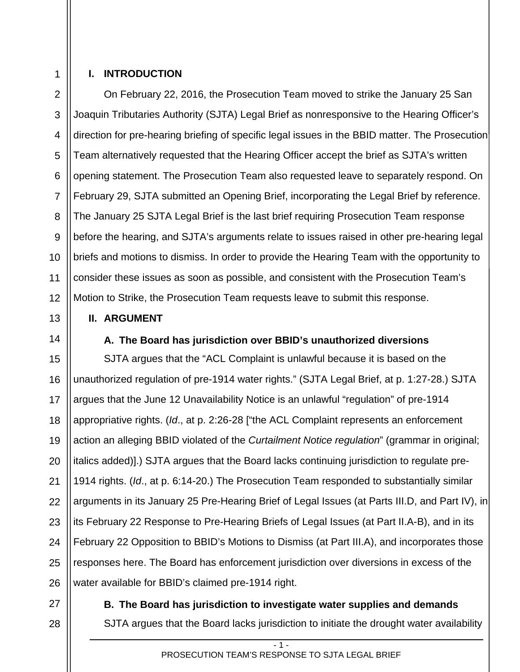## 1 2

3

4

5

6

7

8

9

10

11

12

13

14

27

28

#### **I. INTRODUCTION**

On February 22, 2016, the Prosecution Team moved to strike the January 25 San Joaquin Tributaries Authority (SJTA) Legal Brief as nonresponsive to the Hearing Officer's direction for pre-hearing briefing of specific legal issues in the BBID matter. The Prosecution Team alternatively requested that the Hearing Officer accept the brief as SJTA's written opening statement. The Prosecution Team also requested leave to separately respond. On February 29, SJTA submitted an Opening Brief, incorporating the Legal Brief by reference. The January 25 SJTA Legal Brief is the last brief requiring Prosecution Team response before the hearing, and SJTA's arguments relate to issues raised in other pre-hearing legal briefs and motions to dismiss. In order to provide the Hearing Team with the opportunity to consider these issues as soon as possible, and consistent with the Prosecution Team's Motion to Strike, the Prosecution Team requests leave to submit this response.

#### **II. ARGUMENT**

#### **A. The Board has jurisdiction over BBID's unauthorized diversions**

15 16 17 18 19 20 21 22 23 24 25 26 SJTA argues that the "ACL Complaint is unlawful because it is based on the unauthorized regulation of pre-1914 water rights." (SJTA Legal Brief, at p. 1:27-28.) SJTA argues that the June 12 Unavailability Notice is an unlawful "regulation" of pre-1914 appropriative rights. (*Id*., at p. 2:26-28 ["the ACL Complaint represents an enforcement action an alleging BBID violated of the *Curtailment Notice regulation*" (grammar in original; italics added)].) SJTA argues that the Board lacks continuing jurisdiction to regulate pre-1914 rights. (*Id*., at p. 6:14-20.) The Prosecution Team responded to substantially similar arguments in its January 25 Pre-Hearing Brief of Legal Issues (at Parts III.D, and Part IV), in its February 22 Response to Pre-Hearing Briefs of Legal Issues (at Part II.A-B), and in its February 22 Opposition to BBID's Motions to Dismiss (at Part III.A), and incorporates those responses here. The Board has enforcement jurisdiction over diversions in excess of the water available for BBID's claimed pre-1914 right.

# **B. The Board has jurisdiction to investigate water supplies and demands**  SJTA argues that the Board lacks jurisdiction to initiate the drought water availability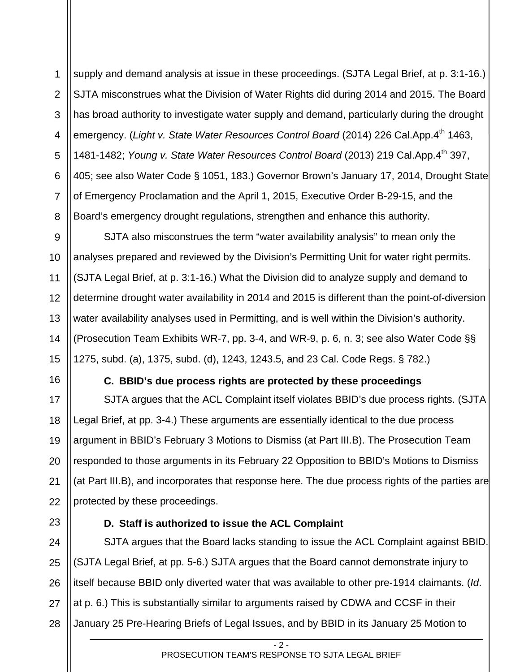1 2 3 4 5 6 7 8 supply and demand analysis at issue in these proceedings. (SJTA Legal Brief, at p. 3:1-16.) SJTA misconstrues what the Division of Water Rights did during 2014 and 2015. The Board has broad authority to investigate water supply and demand, particularly during the drought emergency. (Light v. State Water Resources Control Board (2014) 226 Cal.App.4<sup>th</sup> 1463, 1481-1482; *Young v. State Water Resources Control Board* (2013) 219 Cal.App.4th 397, 405; see also Water Code § 1051, 183.) Governor Brown's January 17, 2014, Drought State of Emergency Proclamation and the April 1, 2015, Executive Order B-29-15, and the Board's emergency drought regulations, strengthen and enhance this authority.

12 13 14 SJTA also misconstrues the term "water availability analysis" to mean only the analyses prepared and reviewed by the Division's Permitting Unit for water right permits. (SJTA Legal Brief, at p. 3:1-16.) What the Division did to analyze supply and demand to determine drought water availability in 2014 and 2015 is different than the point-of-diversion water availability analyses used in Permitting, and is well within the Division's authority. (Prosecution Team Exhibits WR-7, pp. 3-4, and WR-9, p. 6, n. 3; see also Water Code §§ 1275, subd. (a), 1375, subd. (d), 1243, 1243.5, and 23 Cal. Code Regs. § 782.)

#### **C. BBID's due process rights are protected by these proceedings**

SJTA argues that the ACL Complaint itself violates BBID's due process rights. (SJTA Legal Brief, at pp. 3-4.) These arguments are essentially identical to the due process argument in BBID's February 3 Motions to Dismiss (at Part III.B). The Prosecution Team responded to those arguments in its February 22 Opposition to BBID's Motions to Dismiss (at Part III.B), and incorporates that response here. The due process rights of the parties are protected by these proceedings.

### **D. Staff is authorized to issue the ACL Complaint**

9

10

11

15

16

17

18

19

20

21

22

23

24 25 26 27 28 SJTA argues that the Board lacks standing to issue the ACL Complaint against BBID. (SJTA Legal Brief, at pp. 5-6.) SJTA argues that the Board cannot demonstrate injury to itself because BBID only diverted water that was available to other pre-1914 claimants. (*Id*. at p. 6.) This is substantially similar to arguments raised by CDWA and CCSF in their January 25 Pre-Hearing Briefs of Legal Issues, and by BBID in its January 25 Motion to

 $-2$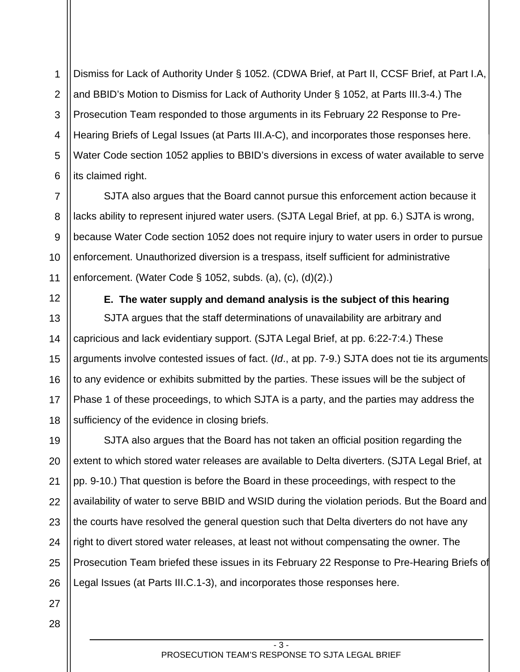1 2 3 4 5 6 Dismiss for Lack of Authority Under § 1052. (CDWA Brief, at Part II, CCSF Brief, at Part I.A, and BBID's Motion to Dismiss for Lack of Authority Under § 1052, at Parts III.3-4.) The Prosecution Team responded to those arguments in its February 22 Response to Pre-Hearing Briefs of Legal Issues (at Parts III.A-C), and incorporates those responses here. Water Code section 1052 applies to BBID's diversions in excess of water available to serve its claimed right.

7 8 9 10 11 SJTA also argues that the Board cannot pursue this enforcement action because it lacks ability to represent injured water users. (SJTA Legal Brief, at pp. 6.) SJTA is wrong, because Water Code section 1052 does not require injury to water users in order to pursue enforcement. Unauthorized diversion is a trespass, itself sufficient for administrative enforcement. (Water Code § 1052, subds. (a), (c), (d)(2).)

12

13

14

15

16

17

18

**E. The water supply and demand analysis is the subject of this hearing** 

SJTA argues that the staff determinations of unavailability are arbitrary and capricious and lack evidentiary support. (SJTA Legal Brief, at pp. 6:22-7:4.) These arguments involve contested issues of fact. (*Id*., at pp. 7-9.) SJTA does not tie its arguments to any evidence or exhibits submitted by the parties. These issues will be the subject of Phase 1 of these proceedings, to which SJTA is a party, and the parties may address the sufficiency of the evidence in closing briefs.

19 20 21 22 23 24 25 26 SJTA also argues that the Board has not taken an official position regarding the extent to which stored water releases are available to Delta diverters. (SJTA Legal Brief, at pp. 9-10.) That question is before the Board in these proceedings, with respect to the availability of water to serve BBID and WSID during the violation periods. But the Board and the courts have resolved the general question such that Delta diverters do not have any right to divert stored water releases, at least not without compensating the owner. The Prosecution Team briefed these issues in its February 22 Response to Pre-Hearing Briefs of Legal Issues (at Parts III.C.1-3), and incorporates those responses here.

28

27